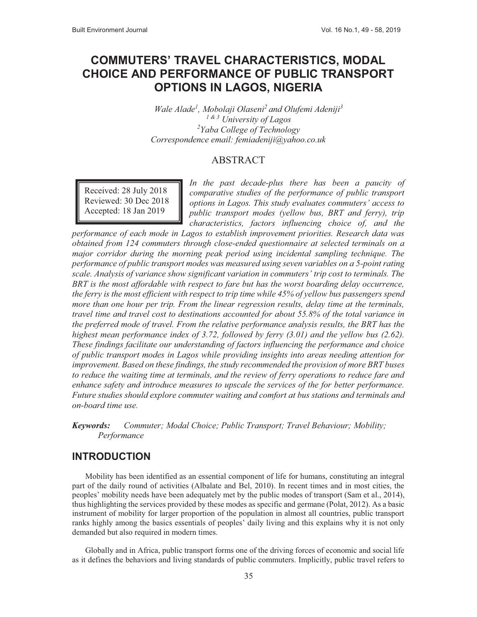# **COMMUTERS' TRAVEL CHARACTERISTICS, MODAL CHOICE AND PERFORMANCE OF PUBLIC TRANSPORT OPTIONS IN LAGOS, NIGERIA**

*Wale Alade1 , Mobolaji Olaseni2 and Olufemi Adeniji3 1 & 3 University of Lagos 2 Yaba College of Technology Correspondence email: femiadeniji@yahoo.co.uk*

#### ABSTRACT

Received: 28 July 2018 Reviewed: 30 Dec 2018 Accepted: 18 Jan 2019

*In the past decade-plus there has been a paucity of comparative studies of the performance of public transport options in Lagos. This study evaluates commuters' access to public transport modes (yellow bus, BRT and ferry), trip characteristics, factors influencing choice of, and the* 

*performance of each mode in Lagos to establish improvement priorities. Research data was obtained from 124 commuters through close-ended questionnaire at selected terminals on a major corridor during the morning peak period using incidental sampling technique. The performance of public transport modes was measured using seven variables on a 5-point rating scale. Analysis of variance show significant variation in commuters' trip cost to terminals. The BRT is the most affordable with respect to fare but has the worst boarding delay occurrence, the ferry is the most efficient with respect to trip time while 45% of yellow bus passengers spend more than one hour per trip. From the linear regression results, delay time at the terminals, travel time and travel cost to destinations accounted for about 55.8% of the total variance in the preferred mode of travel. From the relative performance analysis results, the BRT has the highest mean performance index of 3.72, followed by ferry (3.01) and the yellow bus (2.62). These findings facilitate our understanding of factors influencing the performance and choice of public transport modes in Lagos while providing insights into areas needing attention for improvement. Based on these findings, the study recommended the provision of more BRT buses to reduce the waiting time at terminals, and the review of ferry operations to reduce fare and enhance safety and introduce measures to upscale the services of the for better performance. Future studies should explore commuter waiting and comfort at bus stations and terminals and on-board time use.*

*Keywords: Commuter; Modal Choice; Public Transport; Travel Behaviour; Mobility; Performance* 

## **INTRODUCTION**

Mobility has been identified as an essential component of life for humans, constituting an integral part of the daily round of activities (Albalate and Bel, 2010). In recent times and in most cities, the peoples' mobility needs have been adequately met by the public modes of transport (Sam et al., 2014), thus highlighting the services provided by these modes as specific and germane (Polat, 2012). As a basic instrument of mobility for larger proportion of the population in almost all countries, public transport ranks highly among the basics essentials of peoples' daily living and this explains why it is not only demanded but also required in modern times.

Globally and in Africa, public transport forms one of the driving forces of economic and social life as it defines the behaviors and living standards of public commuters. Implicitly, public travel refers to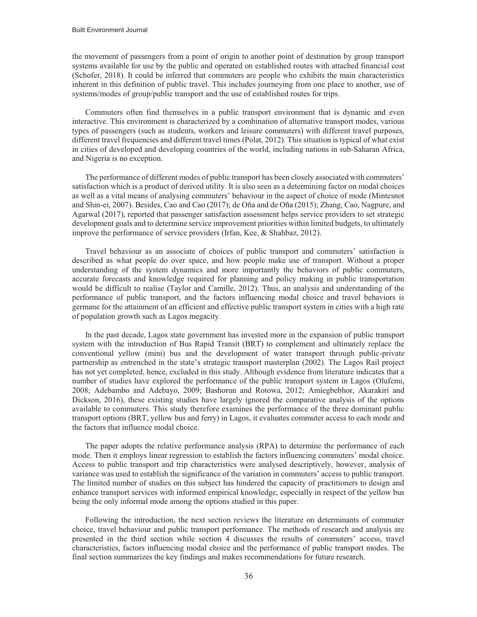the movement of passengers from a point of origin to another point of destination by group transport systems available for use by the public and operated on established routes with attached financial cost (Schofer, 2018). It could be inferred that commuters are people who exhibits the main characteristics inherent in this definition of public travel. This includes journeying from one place to another, use of systems/modes of group/public transport and the use of established routes for trips.

Commuters often find themselves in a public transport environment that is dynamic and even interactive. This environment is characterized by a combination of alternative transport modes, various types of passengers (such as students, workers and leisure commuters) with different travel purposes, different travel frequencies and different travel times (Polat, 2012). This situation is typical of what exist in cities of developed and developing countries of the world, including nations in sub-Saharan Africa, and Nigeria is no exception.

The performance of different modes of public transport has been closely associated with commuters' satisfaction which is a product of derived utility. It is also seen as a determining factor on modal choices as well as a vital means of analysing commuters' behaviour in the aspect of choice of mode (Mintesnot and Shin-ei, 2007). Besides, Cao and Cao (2017); de Oña and de Oña (2015); Zhang, Cao, Nagpure, and Agarwal (2017), reported that passenger satisfaction assessment helps service providers to set strategic development goals and to determine service improvement priorities within limited budgets, to ultimately improve the performance of service providers (Irfan, Kee, & Shahbaz, 2012).

Travel behaviour as an associate of choices of public transport and commuters' satisfaction is described as what people do over space, and how people make use of transport. Without a proper understanding of the system dynamics and more importantly the behaviors of public commuters, accurate forecasts and knowledge required for planning and policy making in public transportation would be difficult to realise (Taylor and Camille, 2012). Thus, an analysis and understanding of the performance of public transport, and the factors influencing modal choice and travel behaviors is germane for the attainment of an efficient and effective public transport system in cities with a high rate of population growth such as Lagos megacity.

In the past decade, Lagos state government has invested more in the expansion of public transport system with the introduction of Bus Rapid Transit (BRT) to complement and ultimately replace the conventional yellow (mini) bus and the development of water transport through public-private partnership as entrenched in the state's strategic transport masterplan (2002). The Lagos Rail project has not yet completed, hence, excluded in this study. Although evidence from literature indicates that a number of studies have explored the performance of the public transport system in Lagos (Olufemi, 2008; Adebambo and Adebayo, 2009; Bashorun and Rotowa, 2012; Amiegbebhor, Akarakiri and Dickson, 2016), these existing studies have largely ignored the comparative analysis of the options available to commuters. This study therefore examines the performance of the three dominant public transport options (BRT, yellow bus and ferry) in Lagos, it evaluates commuter access to each mode and the factors that influence modal choice.

The paper adopts the relative performance analysis (RPA) to determine the performance of each mode. Then it employs linear regression to establish the factors influencing commuters' modal choice. Access to public transport and trip characteristics were analysed descriptively, however, analysis of variance was used to establish the significance of the variation in commuters' access to public transport. The limited number of studies on this subject has hindered the capacity of practitioners to design and enhance transport services with informed empirical knowledge, especially in respect of the yellow bus being the only informal mode among the options studied in this paper.

Following the introduction, the next section reviews the literature on determinants of commuter choice, travel behaviour and public transport performance. The methods of research and analysis are presented in the third section while section 4 discusses the results of commuters' access, travel characteristics, factors influencing modal choice and the performance of public transport modes. The final section summarizes the key findings and makes recommendations for future research.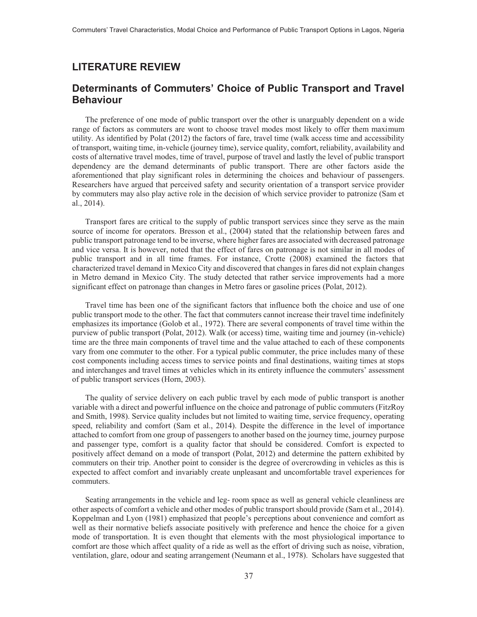#### **LITERATURE REVIEW**

## **Determinants of Commuters' Choice of Public Transport and Travel Behaviour**

The preference of one mode of public transport over the other is unarguably dependent on a wide range of factors as commuters are wont to choose travel modes most likely to offer them maximum utility. As identified by Polat (2012) the factors of fare, travel time (walk access time and accessibility of transport, waiting time, in-vehicle (journey time), service quality, comfort, reliability, availability and costs of alternative travel modes, time of travel, purpose of travel and lastly the level of public transport dependency are the demand determinants of public transport. There are other factors aside the aforementioned that play significant roles in determining the choices and behaviour of passengers. Researchers have argued that perceived safety and security orientation of a transport service provider by commuters may also play active role in the decision of which service provider to patronize (Sam et al., 2014).

Transport fares are critical to the supply of public transport services since they serve as the main source of income for operators. Bresson et al., (2004) stated that the relationship between fares and public transport patronage tend to be inverse, where higher fares are associated with decreased patronage and vice versa. It is however, noted that the effect of fares on patronage is not similar in all modes of public transport and in all time frames. For instance, Crotte (2008) examined the factors that characterized travel demand in Mexico City and discovered that changes in fares did not explain changes in Metro demand in Mexico City. The study detected that rather service improvements had a more significant effect on patronage than changes in Metro fares or gasoline prices (Polat, 2012).

Travel time has been one of the significant factors that influence both the choice and use of one public transport mode to the other. The fact that commuters cannot increase their travel time indefinitely emphasizes its importance (Golob et al., 1972). There are several components of travel time within the purview of public transport (Polat, 2012). Walk (or access) time, waiting time and journey (in-vehicle) time are the three main components of travel time and the value attached to each of these components vary from one commuter to the other. For a typical public commuter, the price includes many of these cost components including access times to service points and final destinations, waiting times at stops and interchanges and travel times at vehicles which in its entirety influence the commuters' assessment of public transport services (Horn, 2003).

The quality of service delivery on each public travel by each mode of public transport is another variable with a direct and powerful influence on the choice and patronage of public commuters (FitzRoy and Smith, 1998). Service quality includes but not limited to waiting time, service frequency, operating speed, reliability and comfort (Sam et al., 2014). Despite the difference in the level of importance attached to comfort from one group of passengers to another based on the journey time, journey purpose and passenger type, comfort is a quality factor that should be considered. Comfort is expected to positively affect demand on a mode of transport (Polat, 2012) and determine the pattern exhibited by commuters on their trip. Another point to consider is the degree of overcrowding in vehicles as this is expected to affect comfort and invariably create unpleasant and uncomfortable travel experiences for commuters.

Seating arrangements in the vehicle and leg- room space as well as general vehicle cleanliness are other aspects of comfort a vehicle and other modes of public transport should provide (Sam et al., 2014). Koppelman and Lyon (1981) emphasized that people's perceptions about convenience and comfort as well as their normative beliefs associate positively with preference and hence the choice for a given mode of transportation. It is even thought that elements with the most physiological importance to comfort are those which affect quality of a ride as well as the effort of driving such as noise, vibration, ventilation, glare, odour and seating arrangement (Neumann et al., 1978). Scholars have suggested that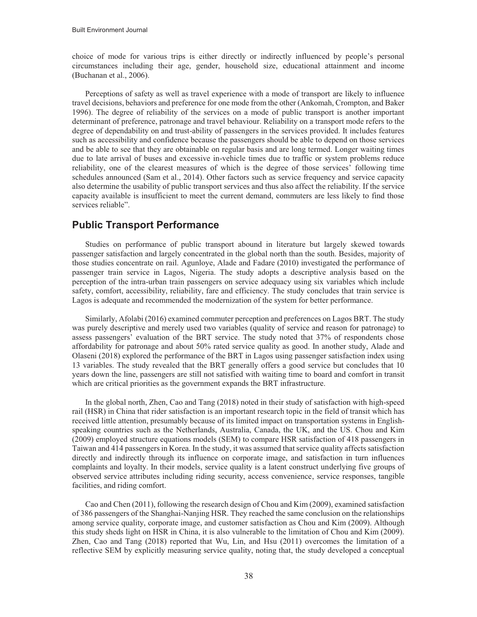choice of mode for various trips is either directly or indirectly influenced by people's personal circumstances including their age, gender, household size, educational attainment and income (Buchanan et al., 2006).

Perceptions of safety as well as travel experience with a mode of transport are likely to influence travel decisions, behaviors and preference for one mode from the other (Ankomah, Crompton, and Baker 1996). The degree of reliability of the services on a mode of public transport is another important determinant of preference, patronage and travel behaviour. Reliability on a transport mode refers to the degree of dependability on and trust-ability of passengers in the services provided. It includes features such as accessibility and confidence because the passengers should be able to depend on those services and be able to see that they are obtainable on regular basis and are long termed. Longer waiting times due to late arrival of buses and excessive in-vehicle times due to traffic or system problems reduce reliability, one of the clearest measures of which is the degree of those services' following time schedules announced (Sam et al., 2014). Other factors such as service frequency and service capacity also determine the usability of public transport services and thus also affect the reliability. If the service capacity available is insufficient to meet the current demand, commuters are less likely to find those services reliable".

#### **Public Transport Performance**

Studies on performance of public transport abound in literature but largely skewed towards passenger satisfaction and largely concentrated in the global north than the south. Besides, majority of those studies concentrate on rail. Agunloye, Alade and Fadare (2010) investigated the performance of passenger train service in Lagos, Nigeria. The study adopts a descriptive analysis based on the perception of the intra-urban train passengers on service adequacy using six variables which include safety, comfort, accessibility, reliability, fare and efficiency. The study concludes that train service is Lagos is adequate and recommended the modernization of the system for better performance.

Similarly, Afolabi (2016) examined commuter perception and preferences on Lagos BRT. The study was purely descriptive and merely used two variables (quality of service and reason for patronage) to assess passengers' evaluation of the BRT service. The study noted that 37% of respondents chose affordability for patronage and about 50% rated service quality as good. In another study, Alade and Olaseni (2018) explored the performance of the BRT in Lagos using passenger satisfaction index using 13 variables. The study revealed that the BRT generally offers a good service but concludes that 10 years down the line, passengers are still not satisfied with waiting time to board and comfort in transit which are critical priorities as the government expands the BRT infrastructure.

In the global north, Zhen, Cao and Tang (2018) noted in their study of satisfaction with high-speed rail (HSR) in China that rider satisfaction is an important research topic in the field of transit which has received little attention, presumably because of its limited impact on transportation systems in Englishspeaking countries such as the Netherlands, Australia, Canada, the UK, and the US. Chou and Kim (2009) employed structure equations models (SEM) to compare HSR satisfaction of 418 passengers in Taiwan and 414 passengers in Korea. In the study, it was assumed that service quality affects satisfaction directly and indirectly through its influence on corporate image, and satisfaction in turn influences complaints and loyalty. In their models, service quality is a latent construct underlying five groups of observed service attributes including riding security, access convenience, service responses, tangible facilities, and riding comfort.

Cao and Chen (2011), following the research design of Chou and Kim (2009), examined satisfaction of 386 passengers of the Shanghai-Nanjing HSR. They reached the same conclusion on the relationships among service quality, corporate image, and customer satisfaction as Chou and Kim (2009). Although this study sheds light on HSR in China, it is also vulnerable to the limitation of Chou and Kim (2009). Zhen, Cao and Tang (2018) reported that Wu, Lin, and Hsu (2011) overcomes the limitation of a reflective SEM by explicitly measuring service quality, noting that, the study developed a conceptual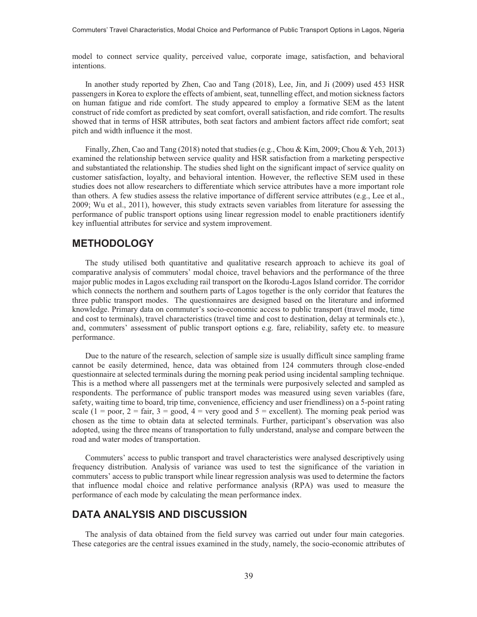model to connect service quality, perceived value, corporate image, satisfaction, and behavioral intentions.

In another study reported by Zhen, Cao and Tang (2018), Lee, Jin, and Ji (2009) used 453 HSR passengers in Korea to explore the effects of ambient, seat, tunnelling effect, and motion sickness factors on human fatigue and ride comfort. The study appeared to employ a formative SEM as the latent construct of ride comfort as predicted by seat comfort, overall satisfaction, and ride comfort. The results showed that in terms of HSR attributes, both seat factors and ambient factors affect ride comfort; seat pitch and width influence it the most.

Finally, Zhen, Cao and Tang (2018) noted that studies (e.g., Chou & Kim, 2009; Chou & Yeh, 2013) examined the relationship between service quality and HSR satisfaction from a marketing perspective and substantiated the relationship. The studies shed light on the significant impact of service quality on customer satisfaction, loyalty, and behavioral intention. However, the reflective SEM used in these studies does not allow researchers to differentiate which service attributes have a more important role than others. A few studies assess the relative importance of different service attributes (e.g., Lee et al., 2009; Wu et al., 2011), however, this study extracts seven variables from literature for assessing the performance of public transport options using linear regression model to enable practitioners identify key influential attributes for service and system improvement.

#### **METHODOLOGY**

The study utilised both quantitative and qualitative research approach to achieve its goal of comparative analysis of commuters' modal choice, travel behaviors and the performance of the three major public modes in Lagos excluding rail transport on the Ikorodu-Lagos Island corridor. The corridor which connects the northern and southern parts of Lagos together is the only corridor that features the three public transport modes. The questionnaires are designed based on the literature and informed knowledge. Primary data on commuter's socio-economic access to public transport (travel mode, time and cost to terminals), travel characteristics (travel time and cost to destination, delay at terminals etc.), and, commuters' assessment of public transport options e.g. fare, reliability, safety etc. to measure performance.

Due to the nature of the research, selection of sample size is usually difficult since sampling frame cannot be easily determined, hence, data was obtained from 124 commuters through close-ended questionnaire at selected terminals during the morning peak period using incidental sampling technique. This is a method where all passengers met at the terminals were purposively selected and sampled as respondents. The performance of public transport modes was measured using seven variables (fare, safety, waiting time to board, trip time, convenience, efficiency and user friendliness) on a 5-point rating scale (1 = poor, 2 = fair, 3 = good, 4 = very good and 5 = excellent). The morning peak period was chosen as the time to obtain data at selected terminals. Further, participant's observation was also adopted, using the three means of transportation to fully understand, analyse and compare between the road and water modes of transportation.

Commuters' access to public transport and travel characteristics were analysed descriptively using frequency distribution. Analysis of variance was used to test the significance of the variation in commuters' access to public transport while linear regression analysis was used to determine the factors that influence modal choice and relative performance analysis (RPA) was used to measure the performance of each mode by calculating the mean performance index.

### **DATA ANALYSIS AND DISCUSSION**

The analysis of data obtained from the field survey was carried out under four main categories. These categories are the central issues examined in the study, namely, the socio-economic attributes of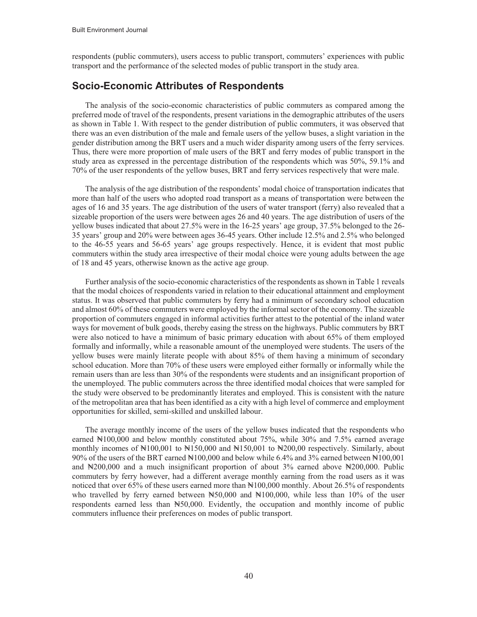respondents (public commuters), users access to public transport, commuters' experiences with public transport and the performance of the selected modes of public transport in the study area.

#### **Socio-Economic Attributes of Respondents**

The analysis of the socio-economic characteristics of public commuters as compared among the preferred mode of travel of the respondents, present variations in the demographic attributes of the users as shown in Table 1. With respect to the gender distribution of public commuters, it was observed that there was an even distribution of the male and female users of the yellow buses, a slight variation in the gender distribution among the BRT users and a much wider disparity among users of the ferry services. Thus, there were more proportion of male users of the BRT and ferry modes of public transport in the study area as expressed in the percentage distribution of the respondents which was 50%, 59.1% and 70% of the user respondents of the yellow buses, BRT and ferry services respectively that were male.

The analysis of the age distribution of the respondents' modal choice of transportation indicates that more than half of the users who adopted road transport as a means of transportation were between the ages of 16 and 35 years. The age distribution of the users of water transport (ferry) also revealed that a sizeable proportion of the users were between ages 26 and 40 years. The age distribution of users of the yellow buses indicated that about 27.5% were in the 16-25 years' age group, 37.5% belonged to the 26- 35 years' group and 20% were between ages 36-45 years. Other include 12.5% and 2.5% who belonged to the 46-55 years and 56-65 years' age groups respectively. Hence, it is evident that most public commuters within the study area irrespective of their modal choice were young adults between the age of 18 and 45 years, otherwise known as the active age group.

Further analysis of the socio-economic characteristics of the respondents as shown in Table 1 reveals that the modal choices of respondents varied in relation to their educational attainment and employment status. It was observed that public commuters by ferry had a minimum of secondary school education and almost 60% of these commuters were employed by the informal sector of the economy. The sizeable proportion of commuters engaged in informal activities further attest to the potential of the inland water ways for movement of bulk goods, thereby easing the stress on the highways. Public commuters by BRT were also noticed to have a minimum of basic primary education with about 65% of them employed formally and informally, while a reasonable amount of the unemployed were students. The users of the yellow buses were mainly literate people with about 85% of them having a minimum of secondary school education. More than 70% of these users were employed either formally or informally while the remain users than are less than 30% of the respondents were students and an insignificant proportion of the unemployed. The public commuters across the three identified modal choices that were sampled for the study were observed to be predominantly literates and employed. This is consistent with the nature of the metropolitan area that has been identified as a city with a high level of commerce and employment opportunities for skilled, semi-skilled and unskilled labour.

The average monthly income of the users of the yellow buses indicated that the respondents who earned ₦100,000 and below monthly constituted about 75%, while 30% and 7.5% earned average monthly incomes of  $\mathbb{N}100,001$  to  $\mathbb{N}150,000$  and  $\mathbb{N}150,001$  to  $\mathbb{N}200,00$  respectively. Similarly, about 90% of the users of the BRT earned ₦100,000 and below while 6.4% and 3% earned between ₦100,001 and  $\text{H200,000}$  and a much insignificant proportion of about 3% earned above  $\text{H200,000}$ . Public commuters by ferry however, had a different average monthly earning from the road users as it was noticed that over 65% of these users earned more than  $\mathbb{N}100,000$  monthly. About 26.5% of respondents who travelled by ferry earned between  $\text{H50,000}$  and  $\text{H100,000}$ , while less than 10% of the user respondents earned less than N50,000. Evidently, the occupation and monthly income of public commuters influence their preferences on modes of public transport.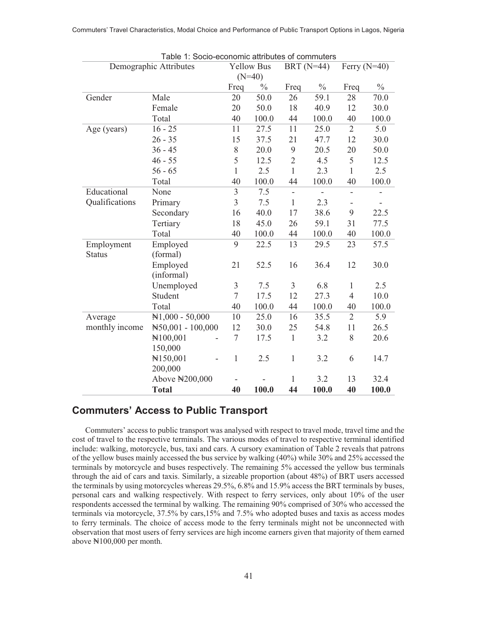| Table 1: Socio-economic attributes of commuters |                            |                |                   |                          |               |                          |               |  |  |
|-------------------------------------------------|----------------------------|----------------|-------------------|--------------------------|---------------|--------------------------|---------------|--|--|
|                                                 | Demographic Attributes     |                | <b>Yellow Bus</b> |                          | BRT $(N=44)$  | Ferry $(N=40)$           |               |  |  |
|                                                 |                            |                | $(N=40)$          |                          |               |                          |               |  |  |
|                                                 |                            | Freq           | $\frac{0}{0}$     | Freq                     | $\frac{0}{0}$ | Freq                     | $\frac{0}{0}$ |  |  |
| Gender                                          | Male                       | 20             | 50.0              | 26                       | 59.1          | 28                       | 70.0          |  |  |
|                                                 | Female                     | 20             | 50.0              | 18                       | 40.9          | 12                       | 30.0          |  |  |
|                                                 | Total                      | 40             | 100.0             | 44                       | 100.0         | 40                       | 100.0         |  |  |
| Age (years)                                     | $16 - 25$                  | 11             | 27.5              | 11                       | 25.0          | $\overline{2}$           | 5.0           |  |  |
|                                                 | $26 - 35$                  | 15             | 37.5              | 21                       | 47.7          | 12                       | 30.0          |  |  |
|                                                 | $36 - 45$                  | $8\,$          | 20.0              | 9                        | 20.5          | 20                       | 50.0          |  |  |
|                                                 | $46 - 55$                  | 5              | 12.5              | $\overline{2}$           | 4.5           | 5                        | 12.5          |  |  |
|                                                 | $56 - 65$                  | $\mathbf{1}$   | 2.5               | $\mathbf{1}$             | 2.3           | 1                        | 2.5           |  |  |
|                                                 | Total                      | 40             | 100.0             | 44                       | 100.0         | 40                       | 100.0         |  |  |
| Educational                                     | None                       | $\overline{3}$ | 7.5               | $\overline{\phantom{a}}$ | ÷,            | $\overline{\phantom{a}}$ |               |  |  |
| Qualifications                                  | Primary                    | 3              | 7.5               | $\mathbf{1}$             | 2.3           |                          |               |  |  |
|                                                 | Secondary                  | 16             | 40.0              | 17                       | 38.6          | 9                        | 22.5          |  |  |
|                                                 | Tertiary                   | 18             | 45.0              | 26                       | 59.1          | 31                       | 77.5          |  |  |
|                                                 | Total                      | 40             | 100.0             | 44                       | 100.0         | 40                       | 100.0         |  |  |
| Employment                                      | Employed                   | 9              | 22.5              | 13                       | 29.5          | 23                       | 57.5          |  |  |
| <b>Status</b>                                   | (formal)                   |                |                   |                          |               |                          |               |  |  |
|                                                 | Employed                   | 21             | 52.5              | 16                       | 36.4          | 12                       | 30.0          |  |  |
|                                                 | (informal)                 |                |                   |                          |               |                          |               |  |  |
|                                                 | Unemployed                 | 3              | 7.5               | $\overline{3}$           | 6.8           | 1                        | 2.5           |  |  |
|                                                 | Student                    | $\overline{7}$ | 17.5              | 12                       | 27.3          | $\overline{4}$           | 10.0          |  |  |
|                                                 | Total                      | 40             | 100.0             | 44                       | 100.0         | 40                       | 100.0         |  |  |
| Average                                         | $\mathbb{N}1,000 - 50,000$ | 10             | 25.0              | 16                       | 35.5          | $\overline{2}$           | 5.9           |  |  |
| monthly income                                  | N50,001 - 100,000          | 12             | 30.0              | 25                       | 54.8          | 11                       | 26.5          |  |  |
|                                                 | N100,001                   | $\overline{7}$ | 17.5              | $\mathbf{1}$             | 3.2           | 8                        | 20.6          |  |  |
|                                                 | 150,000                    |                |                   |                          |               |                          |               |  |  |
|                                                 | N150,001                   | 1              | 2.5               | $\mathbf{1}$             | 3.2           | 6                        | 14.7          |  |  |
|                                                 | 200,000                    |                |                   |                          |               |                          |               |  |  |
|                                                 | Above N200,000             |                |                   | $\mathbf{1}$             | 3.2           | 13                       | 32.4          |  |  |
|                                                 | <b>Total</b>               | 40             | 100.0             | 44                       | 100.0         | 40                       | 100.0         |  |  |

## **Commuters' Access to Public Transport**

Commuters' access to public transport was analysed with respect to travel mode, travel time and the cost of travel to the respective terminals. The various modes of travel to respective terminal identified include: walking, motorcycle, bus, taxi and cars. A cursory examination of Table 2 reveals that patrons of the yellow buses mainly accessed the bus service by walking (40%) while 30% and 25% accessed the terminals by motorcycle and buses respectively. The remaining 5% accessed the yellow bus terminals through the aid of cars and taxis. Similarly, a sizeable proportion (about 48%) of BRT users accessed the terminals by using motorcycles whereas 29.5%, 6.8% and 15.9% access the BRT terminals by buses, personal cars and walking respectively. With respect to ferry services, only about 10% of the user respondents accessed the terminal by walking. The remaining 90% comprised of 30% who accessed the terminals via motorcycle, 37.5% by cars,15% and 7.5% who adopted buses and taxis as access modes to ferry terminals. The choice of access mode to the ferry terminals might not be unconnected with observation that most users of ferry services are high income earners given that majority of them earned above ₦100,000 per month.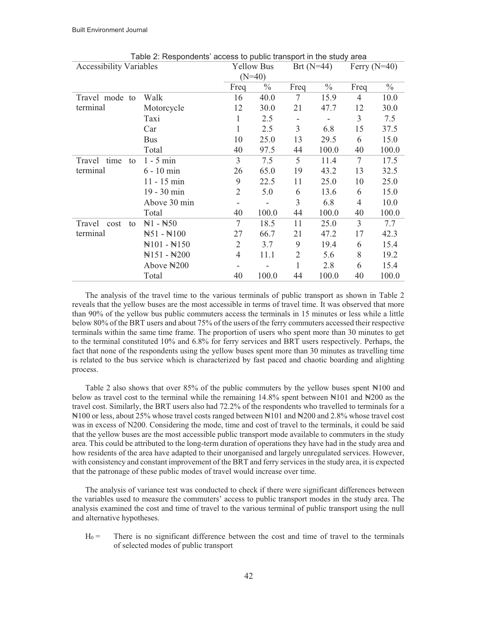| Table 2: Respondents' access to public transport in the study area |                                 |                |                   |              |               |                |               |  |  |
|--------------------------------------------------------------------|---------------------------------|----------------|-------------------|--------------|---------------|----------------|---------------|--|--|
| <b>Accessibility Variables</b>                                     |                                 |                | <b>Yellow Bus</b> | Brt $(N=44)$ |               | Ferry $(N=40)$ |               |  |  |
|                                                                    |                                 |                | $(N=40)$          |              |               |                |               |  |  |
|                                                                    |                                 | Freq           | $\frac{0}{0}$     | Freq         | $\frac{0}{0}$ | Freq           | $\frac{0}{0}$ |  |  |
| Travel mode to                                                     | Walk                            | 16             | 40.0              | 7            | 15.9          | $\overline{4}$ | 10.0          |  |  |
| terminal                                                           | Motorcycle                      | 12             | 30.0              | 21           | 47.7          | 12             | 30.0          |  |  |
|                                                                    | Taxi                            | 1              | 2.5               |              | -             | 3              | 7.5           |  |  |
|                                                                    | Car                             | 1              | 2.5               | 3            | 6.8           | 15             | 37.5          |  |  |
|                                                                    | <b>Bus</b>                      | 10             | 25.0              | 13           | 29.5          | 6              | 15.0          |  |  |
|                                                                    | Total                           | 40             | 97.5              | 44           | 100.0         | 40             | 100.0         |  |  |
| time<br>Travel<br>to                                               | $1 - 5$ min                     | 3              | 7.5               | 5            | 11.4          | 7              | 17.5          |  |  |
| terminal                                                           | $6 - 10$ min                    | 26             | 65.0              | 19           | 43.2          | 13             | 32.5          |  |  |
|                                                                    | $11 - 15$ min                   | 9              | 22.5              | 11           | 25.0          | 10             | 25.0          |  |  |
|                                                                    | 19 - 30 min                     | $\overline{2}$ | 5.0               | 6            | 13.6          | 6              | 15.0          |  |  |
|                                                                    | Above 30 min                    | -              |                   | 3            | 6.8           | $\overline{4}$ | 10.0          |  |  |
|                                                                    | Total                           | 40             | 100.0             | 44           | 100.0         | 40             | 100.0         |  |  |
| Travel<br>cost<br>to                                               | $H1 - H50$                      | $\tau$         | 18.5              | 11           | 25.0          | 3              | 7.7           |  |  |
| terminal                                                           | $H51 - H100$                    | 27             | 66.7              | 21           | 47.2          | 17             | 42.3          |  |  |
|                                                                    | $\yen$ 101 - $\yen$ 150         | $\overline{2}$ | 3.7               | 9            | 19.4          | 6              | 15.4          |  |  |
|                                                                    | $\mathbb{N}151 - \mathbb{N}200$ | 4              | 11.1              | 2            | 5.6           | 8              | 19.2          |  |  |
|                                                                    | Above $\yen$ 200                |                |                   | $\mathbf{1}$ | 2.8           | 6              | 15.4          |  |  |
|                                                                    | Total                           | 40             | 100.0             | 44           | 100.0         | 40             | 100.0         |  |  |

The analysis of the travel time to the various terminals of public transport as shown in Table 2 reveals that the yellow buses are the most accessible in terms of travel time. It was observed that more than 90% of the yellow bus public commuters access the terminals in 15 minutes or less while a little below 80% of the BRT users and about 75% of the users of the ferry commuters accessed their respective terminals within the same time frame. The proportion of users who spent more than 30 minutes to get to the terminal constituted 10% and 6.8% for ferry services and BRT users respectively. Perhaps, the fact that none of the respondents using the yellow buses spent more than 30 minutes as travelling time is related to the bus service which is characterized by fast paced and chaotic boarding and alighting process.

Table 2 also shows that over 85% of the public commuters by the yellow buses spent  $\mathbb{N}100$  and below as travel cost to the terminal while the remaining 14.8% spent between ₦101 and ₦200 as the travel cost. Similarly, the BRT users also had 72.2% of the respondents who travelled to terminals for a ₦100 or less, about 25% whose travel costs ranged between ₦101 and ₦200 and 2.8% whose travel cost was in excess of N200. Considering the mode, time and cost of travel to the terminals, it could be said that the yellow buses are the most accessible public transport mode available to commuters in the study area. This could be attributed to the long-term duration of operations they have had in the study area and how residents of the area have adapted to their unorganised and largely unregulated services. However, with consistency and constant improvement of the BRT and ferry services in the study area, it is expected that the patronage of these public modes of travel would increase over time.

The analysis of variance test was conducted to check if there were significant differences between the variables used to measure the commuters' access to public transport modes in the study area. The analysis examined the cost and time of travel to the various terminal of public transport using the null and alternative hypotheses.

 $H_0 =$  There is no significant difference between the cost and time of travel to the terminals of selected modes of public transport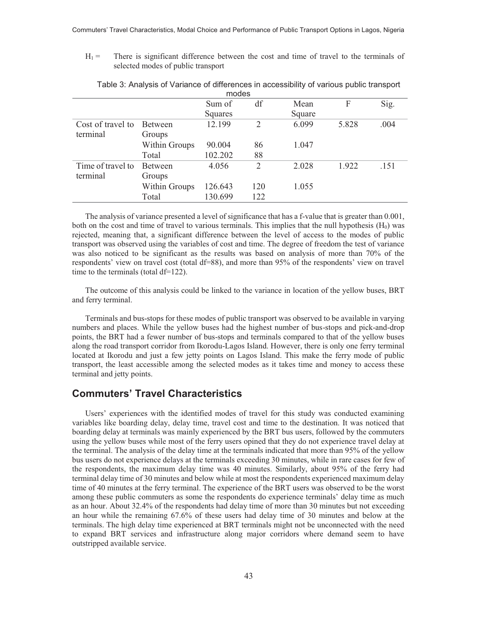$H_1 =$  There is significant difference between the cost and time of travel to the terminals of selected modes of public transport

| TIJUUTS           |                |         |                |        |       |      |  |  |  |
|-------------------|----------------|---------|----------------|--------|-------|------|--|--|--|
|                   |                | Sum of  | df             | Mean   | F     | Sig. |  |  |  |
|                   |                | Squares |                | Square |       |      |  |  |  |
| Cost of travel to | <b>Between</b> | 12.199  | 2              | 6.099  | 5.828 | .004 |  |  |  |
| terminal          | Groups         |         |                |        |       |      |  |  |  |
|                   | Within Groups  | 90.004  | 86             | 1.047  |       |      |  |  |  |
|                   | Total          | 102.202 | 88             |        |       |      |  |  |  |
| Time of travel to | <b>Between</b> | 4.056   | $\overline{2}$ | 2.028  | 1.922 | .151 |  |  |  |
| terminal          | Groups         |         |                |        |       |      |  |  |  |
|                   | Within Groups  | 126.643 | 120            | 1.055  |       |      |  |  |  |
|                   | Total          | 130.699 | 122            |        |       |      |  |  |  |

Table 3: Analysis of Variance of differences in accessibility of various public transport modes

The analysis of variance presented a level of significance that has a f-value that is greater than 0.001, both on the cost and time of travel to various terminals. This implies that the null hypothesis  $(H_0)$  was rejected, meaning that, a significant difference between the level of access to the modes of public transport was observed using the variables of cost and time. The degree of freedom the test of variance was also noticed to be significant as the results was based on analysis of more than 70% of the respondents' view on travel cost (total df=88), and more than 95% of the respondents' view on travel time to the terminals (total df=122).

The outcome of this analysis could be linked to the variance in location of the yellow buses, BRT and ferry terminal.

Terminals and bus-stops for these modes of public transport was observed to be available in varying numbers and places. While the yellow buses had the highest number of bus-stops and pick-and-drop points, the BRT had a fewer number of bus-stops and terminals compared to that of the yellow buses along the road transport corridor from Ikorodu-Lagos Island. However, there is only one ferry terminal located at Ikorodu and just a few jetty points on Lagos Island. This make the ferry mode of public transport, the least accessible among the selected modes as it takes time and money to access these terminal and jetty points.

#### **Commuters' Travel Characteristics**

Users' experiences with the identified modes of travel for this study was conducted examining variables like boarding delay, delay time, travel cost and time to the destination. It was noticed that boarding delay at terminals was mainly experienced by the BRT bus users, followed by the commuters using the yellow buses while most of the ferry users opined that they do not experience travel delay at the terminal. The analysis of the delay time at the terminals indicated that more than 95% of the yellow bus users do not experience delays at the terminals exceeding 30 minutes, while in rare cases for few of the respondents, the maximum delay time was 40 minutes. Similarly, about 95% of the ferry had terminal delay time of 30 minutes and below while at most the respondents experienced maximum delay time of 40 minutes at the ferry terminal. The experience of the BRT users was observed to be the worst among these public commuters as some the respondents do experience terminals' delay time as much as an hour. About 32.4% of the respondents had delay time of more than 30 minutes but not exceeding an hour while the remaining 67.6% of these users had delay time of 30 minutes and below at the terminals. The high delay time experienced at BRT terminals might not be unconnected with the need to expand BRT services and infrastructure along major corridors where demand seem to have outstripped available service.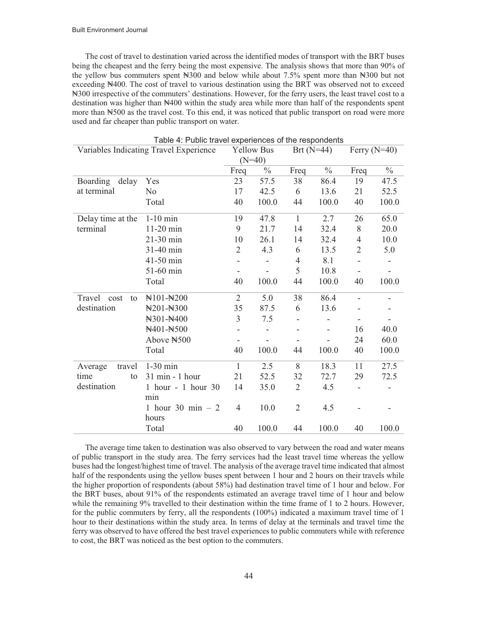The cost of travel to destination varied across the identified modes of transport with the BRT buses being the cheapest and the ferry being the most expensive. The analysis shows that more than 90% of the yellow bus commuters spent ₦300 and below while about 7.5% spent more than ₦300 but not exceeding ₦400. The cost of travel to various destination using the BRT was observed not to exceed ₦300 irrespective of the commuters' destinations. However, for the ferry users, the least travel cost to a destination was higher than  $\mathbb{N}400$  within the study area while more than half of the respondents spent more than ₦500 as the travel cost. To this end, it was noticed that public transport on road were more used and far cheaper than public transport on water.

| <b>Table 4. I dolle travel experiences of the respondents</b><br>Variables Indicating Travel Experience |                             |                | <b>Yellow Bus</b> |                | Brt $(N=44)$  | Ferry $(N=40)$           |               |  |
|---------------------------------------------------------------------------------------------------------|-----------------------------|----------------|-------------------|----------------|---------------|--------------------------|---------------|--|
|                                                                                                         |                             | $(N=40)$       |                   |                |               |                          |               |  |
|                                                                                                         |                             | Freq           | $\frac{0}{0}$     | Freq           | $\frac{0}{0}$ | Freq                     | $\frac{0}{0}$ |  |
| Boarding<br>delay                                                                                       | Yes                         | 23             | 57.5              | 38             | 86.4          | 19                       | 47.5          |  |
| at terminal                                                                                             | N <sub>0</sub>              | 17             | 42.5              | 6              | 13.6          | 21                       | 52.5          |  |
|                                                                                                         | Total                       | 40             | 100.0             | 44             | 100.0         | 40                       | 100.0         |  |
| Delay time at the                                                                                       | $1-10$ min                  | 19             | 47.8              | $\mathbf{1}$   | 2.7           | 26                       | 65.0          |  |
| terminal                                                                                                | 11-20 min                   | 9              | 21.7              | 14             | 32.4          | 8                        | 20.0          |  |
|                                                                                                         | 21-30 min                   | 10             | 26.1              | 14             | 32.4          | $\overline{4}$           | 10.0          |  |
|                                                                                                         | 31-40 min                   | $\overline{2}$ | 4.3               | 6              | 13.5          | $\overline{2}$           | 5.0           |  |
|                                                                                                         | 41-50 min                   | -              |                   | 4              | 8.1           | $\overline{\phantom{m}}$ |               |  |
|                                                                                                         | 51-60 min                   | -              |                   | 5              | 10.8          |                          |               |  |
|                                                                                                         | Total                       | 40             | 100.0             | 44             | 100.0         | 40                       | 100.0         |  |
| Travel<br>cost<br>to                                                                                    | N101-N200                   | $\overline{2}$ | 5.0               | 38             | 86.4          |                          |               |  |
| destination                                                                                             | N201-N300                   | 35             | 87.5              | 6              | 13.6          |                          |               |  |
|                                                                                                         | N301-N400                   | 3              | 7.5               |                |               | $\overline{\phantom{a}}$ |               |  |
|                                                                                                         | N401-N500                   | -              |                   |                |               | 16                       | 40.0          |  |
|                                                                                                         | Above N500                  |                |                   |                |               | 24                       | 60.0          |  |
|                                                                                                         | Total                       | 40             | 100.0             | 44             | 100.0         | 40                       | 100.0         |  |
| Average<br>travel                                                                                       | $1-30$ min                  | 1              | 2.5               | 8              | 18.3          | 11                       | 27.5          |  |
| time<br>to                                                                                              | 31 min - 1 hour             | 21             | 52.5              | 32             | 72.7          | 29                       | 72.5          |  |
| destination                                                                                             | 1 hour - 1 hour 30          | 14             | 35.0              | $\overline{2}$ | 4.5           |                          |               |  |
|                                                                                                         | min                         |                |                   |                |               |                          |               |  |
|                                                                                                         | 1 hour 30 min $-2$<br>hours | $\overline{4}$ | 10.0              | $\overline{2}$ | 4.5           |                          |               |  |
|                                                                                                         | Total                       | 40             | 100.0             | 44             | 100.0         | 40                       | 100.0         |  |

Table 4: Public travel experiences of the respondents

The average time taken to destination was also observed to vary between the road and water means of public transport in the study area. The ferry services had the least travel time whereas the yellow buses had the longest/highest time of travel. The analysis of the average travel time indicated that almost half of the respondents using the yellow buses spent between 1 hour and 2 hours on their travels while the higher proportion of respondents (about 58%) had destination travel time of 1 hour and below. For the BRT buses, about 91% of the respondents estimated an average travel time of 1 hour and below while the remaining 9% travelled to their destination within the time frame of 1 to 2 hours. However, for the public commuters by ferry, all the respondents (100%) indicated a maximum travel time of 1 hour to their destinations within the study area. In terms of delay at the terminals and travel time the ferry was observed to have offered the best travel experiences to public commuters while with reference to cost, the BRT was noticed as the best option to the commuters.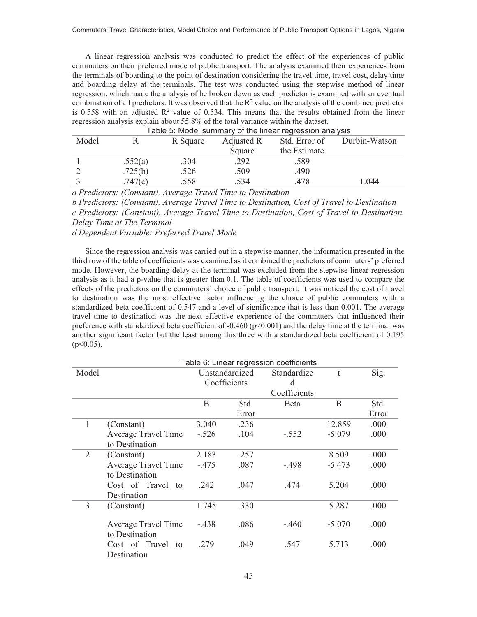A linear regression analysis was conducted to predict the effect of the experiences of public commuters on their preferred mode of public transport. The analysis examined their experiences from the terminals of boarding to the point of destination considering the travel time, travel cost, delay time and boarding delay at the terminals. The test was conducted using the stepwise method of linear regression, which made the analysis of be broken down as each predictor is examined with an eventual combination of all predictors. It was observed that the  $\mathbb{R}^2$  value on the analysis of the combined predictor is 0.558 with an adjusted  $\mathbb{R}^2$  value of 0.534. This means that the results obtained from the linear regression analysis explain about 55.8% of the total variance within the dataset.

| Table 5. MOGER Suffitually OF the imeal regression analysis |         |          |            |               |               |  |  |  |  |  |
|-------------------------------------------------------------|---------|----------|------------|---------------|---------------|--|--|--|--|--|
| Model                                                       |         | R Square | Adjusted R | Std. Error of | Durbin-Watson |  |  |  |  |  |
|                                                             |         |          | Square     | the Estimate  |               |  |  |  |  |  |
|                                                             | .552(a) | .304     | .292       | .589          |               |  |  |  |  |  |
|                                                             | .725(b) | .526     | .509       | .490          |               |  |  |  |  |  |
|                                                             | .747(c) | .558     | .534       | .478          | 1.044         |  |  |  |  |  |

| Table 5: Model summary of the linear regression analysis |
|----------------------------------------------------------|
|----------------------------------------------------------|

*a Predictors: (Constant), Average Travel Time to Destination* 

*b Predictors: (Constant), Average Travel Time to Destination, Cost of Travel to Destination* 

*c Predictors: (Constant), Average Travel Time to Destination, Cost of Travel to Destination, Delay Time at The Terminal* 

*d Dependent Variable: Preferred Travel Mode* 

Since the regression analysis was carried out in a stepwise manner, the information presented in the third row of the table of coefficients was examined as it combined the predictors of commuters' preferred mode. However, the boarding delay at the terminal was excluded from the stepwise linear regression analysis as it had a p-value that is greater than 0.1. The table of coefficients was used to compare the effects of the predictors on the commuters' choice of public transport. It was noticed the cost of travel to destination was the most effective factor influencing the choice of public commuters with a standardized beta coefficient of 0.547 and a level of significance that is less than 0.001. The average travel time to destination was the next effective experience of the commuters that influenced their preference with standardized beta coefficient of -0.460 (p<0.001) and the delay time at the terminal was another significant factor but the least among this three with a standardized beta coefficient of 0.195  $(p<0.05)$ .

| Table 6: Linear regression coefficients |                     |                |              |              |              |       |  |  |  |  |
|-----------------------------------------|---------------------|----------------|--------------|--------------|--------------|-------|--|--|--|--|
| Model                                   |                     | Unstandardized |              | Standardize  | $\mathbf{t}$ | Sig.  |  |  |  |  |
|                                         |                     |                | Coefficients | d            |              |       |  |  |  |  |
|                                         |                     |                |              | Coefficients |              |       |  |  |  |  |
|                                         |                     | B              | Std.         | Beta         | B            | Std.  |  |  |  |  |
|                                         |                     |                | Error        |              |              | Error |  |  |  |  |
| 1                                       | (Constant)          | 3.040          | .236         |              | 12.859       | .000  |  |  |  |  |
|                                         | Average Travel Time | $-.526$        | .104         | $-.552$      | $-5.079$     | .000  |  |  |  |  |
|                                         | to Destination      |                |              |              |              |       |  |  |  |  |
| 2                                       | (Constant)          | 2.183          | .257         |              | 8.509        | .000  |  |  |  |  |
|                                         | Average Travel Time | $-.475$        | .087         | $-.498$      | $-5.473$     | .000  |  |  |  |  |
|                                         | to Destination      |                |              |              |              |       |  |  |  |  |
|                                         | Cost of Travel to   | .242           | .047         | .474         | 5.204        | .000  |  |  |  |  |
|                                         | Destination         |                |              |              |              |       |  |  |  |  |
| 3                                       | (Constant)          | 1.745          | .330         |              | 5.287        | .000  |  |  |  |  |
|                                         |                     |                |              |              |              |       |  |  |  |  |
|                                         | Average Travel Time | $-.438$        | .086         | $-.460$      | $-5.070$     | .000  |  |  |  |  |
|                                         | to Destination      |                |              |              |              |       |  |  |  |  |
|                                         | Cost of Travel to   | .279           | .049         | .547         | 5.713        | .000  |  |  |  |  |
|                                         | Destination         |                |              |              |              |       |  |  |  |  |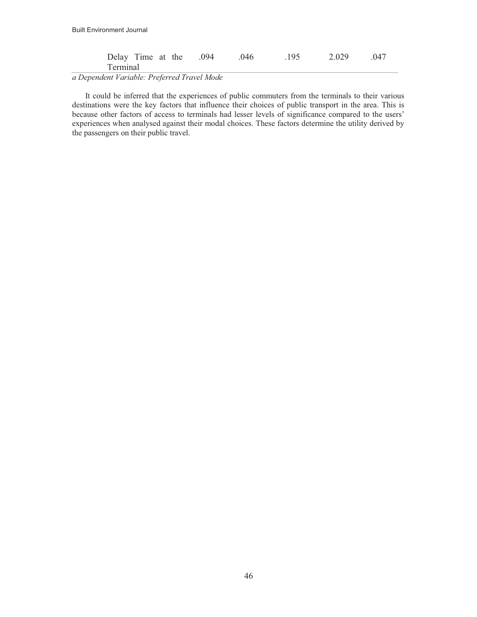| Delay Time at the .094 |  | .046 | 195 | 2.029 | 047 |
|------------------------|--|------|-----|-------|-----|
| Terminal               |  |      |     |       |     |

*a Dependent Variable: Preferred Travel Mode* 

It could be inferred that the experiences of public commuters from the terminals to their various destinations were the key factors that influence their choices of public transport in the area. This is because other factors of access to terminals had lesser levels of significance compared to the users' experiences when analysed against their modal choices. These factors determine the utility derived by the passengers on their public travel.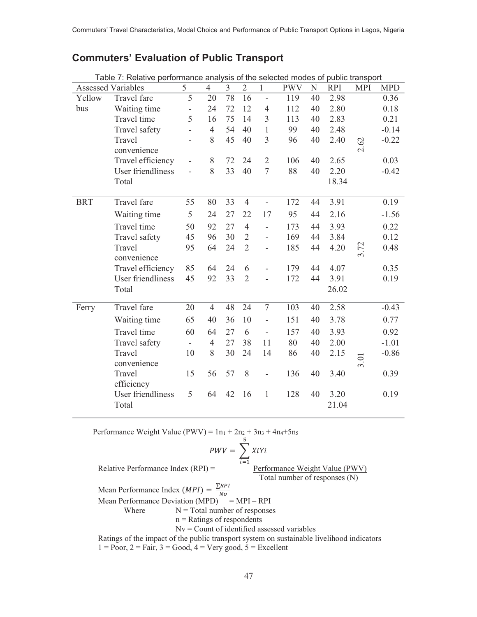# **Commuters' Evaluation of Public Transport**

| Table 7: Relative performance analysis of the selected modes of public transport |                           |                          |                |                |                |                          |            |    |            |            |            |
|----------------------------------------------------------------------------------|---------------------------|--------------------------|----------------|----------------|----------------|--------------------------|------------|----|------------|------------|------------|
|                                                                                  | <b>Assessed Variables</b> | 5                        | $\overline{4}$ | $\overline{3}$ | $\overline{2}$ | $\mathbf{1}$             | <b>PWV</b> | N  | <b>RPI</b> | <b>MPI</b> | <b>MPD</b> |
| Yellow                                                                           | Travel fare               | 5                        | 20             | 78             | 16             | $\blacksquare$           | 119        | 40 | 2.98       |            | 0.36       |
| bus                                                                              | Waiting time              | $\qquad \qquad -$        | 24             | 72             | 12             | $\overline{4}$           | 112        | 40 | 2.80       |            | 0.18       |
|                                                                                  | Travel time               | 5                        | 16             | 75             | 14             | $\overline{3}$           | 113        | 40 | 2.83       |            | 0.21       |
|                                                                                  | Travel safety             |                          | $\overline{4}$ | 54             | 40             | $\mathbf{1}$             | 99         | 40 | 2.48       |            | $-0.14$    |
|                                                                                  | Travel                    |                          | 8              | 45             | 40             | 3                        | 96         | 40 | 2.40       | 2.62       | $-0.22$    |
|                                                                                  | convenience               |                          |                |                |                |                          |            |    |            |            |            |
|                                                                                  | Travel efficiency         |                          | 8              | 72             | 24             | $\overline{2}$           | 106        | 40 | 2.65       |            | 0.03       |
|                                                                                  | User friendliness         |                          | 8              | 33             | 40             | $\tau$                   | 88         | 40 | 2.20       |            | $-0.42$    |
|                                                                                  | Total                     |                          |                |                |                |                          |            |    | 18.34      |            |            |
|                                                                                  |                           |                          |                |                |                |                          |            |    |            |            |            |
| <b>BRT</b>                                                                       | Travel fare               | 55                       | 80             | 33             | $\overline{4}$ | $\blacksquare$           | 172        | 44 | 3.91       |            | 0.19       |
|                                                                                  | Waiting time              | 5                        | 24             | 27             | 22             | 17                       | 95         | 44 | 2.16       |            | $-1.56$    |
|                                                                                  | Travel time               | 50                       | 92             | 27             | $\overline{4}$ | $\overline{a}$           | 173        | 44 | 3.93       |            | 0.22       |
|                                                                                  | Travel safety             | 45                       | 96             | 30             | $\overline{2}$ | $\overline{\phantom{0}}$ | 169        | 44 | 3.84       |            | 0.12       |
|                                                                                  | Travel                    | 95                       | 64             | 24             | $\overline{2}$ | $\overline{\phantom{0}}$ | 185        | 44 | 4.20       | 3.72       | 0.48       |
|                                                                                  | convenience               |                          |                |                |                |                          |            |    |            |            |            |
|                                                                                  | Travel efficiency         | 85                       | 64             | 24             | 6              |                          | 179        | 44 | 4.07       |            | 0.35       |
|                                                                                  | User friendliness         | 45                       | 92             | 33             | $\overline{2}$ |                          | 172        | 44 | 3.91       |            | 0.19       |
|                                                                                  | Total                     |                          |                |                |                |                          |            |    | 26.02      |            |            |
|                                                                                  |                           |                          |                |                |                |                          |            |    |            |            |            |
| Ferry                                                                            | Travel fare               | 20                       | $\overline{4}$ | 48             | 24             | $\overline{7}$           | 103        | 40 | 2.58       |            | $-0.43$    |
|                                                                                  | Waiting time              | 65                       | 40             | 36             | 10             | $\overline{\phantom{0}}$ | 151        | 40 | 3.78       |            | 0.77       |
|                                                                                  | Travel time               | 60                       | 64             | 27             | 6              | $\overline{\phantom{a}}$ | 157        | 40 | 3.93       |            | 0.92       |
|                                                                                  | Travel safety             | $\overline{\phantom{a}}$ | $\overline{4}$ | 27             | 38             | 11                       | 80         | 40 | 2.00       |            | $-1.01$    |
|                                                                                  | Travel                    | 10                       | 8              | 30             | 24             | 14                       | 86         | 40 | 2.15       |            | $-0.86$    |
|                                                                                  | convenience               |                          |                |                |                |                          |            |    |            | 3.01       |            |
|                                                                                  | Travel                    | 15                       | 56             | 57             | 8              |                          | 136        | 40 | 3.40       |            | 0.39       |
|                                                                                  | efficiency                |                          |                |                |                |                          |            |    |            |            |            |
|                                                                                  | User friendliness         | 5                        | 64             | 42             | 16             | $\mathbf{1}$             | 128        | 40 | 3.20       |            | 0.19       |
|                                                                                  | Total                     |                          |                |                |                |                          |            |    | 21.04      |            |            |
|                                                                                  |                           |                          |                |                |                |                          |            |    |            |            |            |

Performance Weight Value (PWV) =  $1n_1 + 2n_2 + 3n_3 + 4n_4 + 5n_5$ 

$$
PWV = \sum_{i=1}^{5} XiYi
$$

Relative Performance Index (RPI) =  $\frac{P}{P}$  Performance Weight Value (PWV) Total number of responses (N)

Mean Performance Index  $(MPI) = \frac{\sum RPI}{N!}$ 

Mean Performance Deviation (MPD)<sup>Nv</sup> = MPI – RPI

Where  $N = Total number of responses$ 

 $n =$ Ratings of respondents

Nv = Count of identified assessed variables

 Ratings of the impact of the public transport system on sustainable livelihood indicators  $1 = Poor$ ,  $2 = Fair$ ,  $3 = Good$ ,  $4 = Very good$ ,  $5 = Excellent$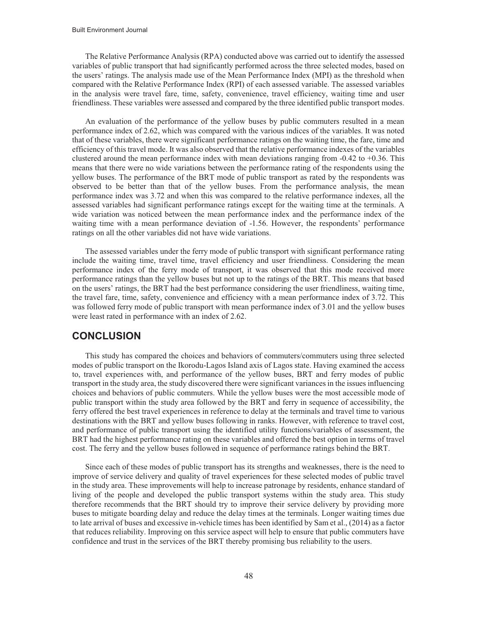The Relative Performance Analysis (RPA) conducted above was carried out to identify the assessed variables of public transport that had significantly performed across the three selected modes, based on the users' ratings. The analysis made use of the Mean Performance Index (MPI) as the threshold when compared with the Relative Performance Index (RPI) of each assessed variable. The assessed variables in the analysis were travel fare, time, safety, convenience, travel efficiency, waiting time and user friendliness. These variables were assessed and compared by the three identified public transport modes.

An evaluation of the performance of the yellow buses by public commuters resulted in a mean performance index of 2.62, which was compared with the various indices of the variables. It was noted that of these variables, there were significant performance ratings on the waiting time, the fare, time and efficiency of this travel mode. It was also observed that the relative performance indexes of the variables clustered around the mean performance index with mean deviations ranging from  $-0.42$  to  $+0.36$ . This means that there were no wide variations between the performance rating of the respondents using the yellow buses. The performance of the BRT mode of public transport as rated by the respondents was observed to be better than that of the yellow buses. From the performance analysis, the mean performance index was 3.72 and when this was compared to the relative performance indexes, all the assessed variables had significant performance ratings except for the waiting time at the terminals. A wide variation was noticed between the mean performance index and the performance index of the waiting time with a mean performance deviation of -1.56. However, the respondents' performance ratings on all the other variables did not have wide variations.

The assessed variables under the ferry mode of public transport with significant performance rating include the waiting time, travel time, travel efficiency and user friendliness. Considering the mean performance index of the ferry mode of transport, it was observed that this mode received more performance ratings than the yellow buses but not up to the ratings of the BRT. This means that based on the users' ratings, the BRT had the best performance considering the user friendliness, waiting time, the travel fare, time, safety, convenience and efficiency with a mean performance index of 3.72. This was followed ferry mode of public transport with mean performance index of 3.01 and the yellow buses were least rated in performance with an index of 2.62.

#### **CONCLUSION**

This study has compared the choices and behaviors of commuters/commuters using three selected modes of public transport on the Ikorodu-Lagos Island axis of Lagos state. Having examined the access to, travel experiences with, and performance of the yellow buses, BRT and ferry modes of public transport in the study area, the study discovered there were significant variances in the issues influencing choices and behaviors of public commuters. While the yellow buses were the most accessible mode of public transport within the study area followed by the BRT and ferry in sequence of accessibility, the ferry offered the best travel experiences in reference to delay at the terminals and travel time to various destinations with the BRT and yellow buses following in ranks. However, with reference to travel cost, and performance of public transport using the identified utility functions/variables of assessment, the BRT had the highest performance rating on these variables and offered the best option in terms of travel cost. The ferry and the yellow buses followed in sequence of performance ratings behind the BRT.

Since each of these modes of public transport has its strengths and weaknesses, there is the need to improve of service delivery and quality of travel experiences for these selected modes of public travel in the study area. These improvements will help to increase patronage by residents, enhance standard of living of the people and developed the public transport systems within the study area. This study therefore recommends that the BRT should try to improve their service delivery by providing more buses to mitigate boarding delay and reduce the delay times at the terminals. Longer waiting times due to late arrival of buses and excessive in-vehicle times has been identified by Sam et al., (2014) as a factor that reduces reliability. Improving on this service aspect will help to ensure that public commuters have confidence and trust in the services of the BRT thereby promising bus reliability to the users.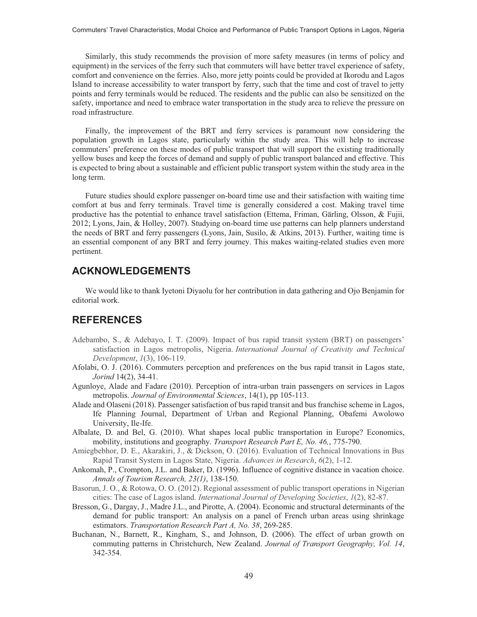Similarly, this study recommends the provision of more safety measures (in terms of policy and equipment) in the services of the ferry such that commuters will have better travel experience of safety, comfort and convenience on the ferries. Also, more jetty points could be provided at Ikorodu and Lagos Island to increase accessibility to water transport by ferry, such that the time and cost of travel to jetty points and ferry terminals would be reduced. The residents and the public can also be sensitized on the safety, importance and need to embrace water transportation in the study area to relieve the pressure on road infrastructure.

Finally, the improvement of the BRT and ferry services is paramount now considering the population growth in Lagos state, particularly within the study area. This will help to increase commuters' preference on these modes of public transport that will support the existing traditionally yellow buses and keep the forces of demand and supply of public transport balanced and effective. This is expected to bring about a sustainable and efficient public transport system within the study area in the long term.

Future studies should explore passenger on-board time use and their satisfaction with waiting time comfort at bus and ferry terminals. Travel time is generally considered a cost. Making travel time productive has the potential to enhance travel satisfaction (Ettema, Friman, Gärling, Olsson, & Fujii, 2012; Lyons, Jain, & Holley, 2007). Studying on-board time use patterns can help planners understand the needs of BRT and ferry passengers (Lyons, Jain, Susilo, & Atkins, 2013). Further, waiting time is an essential component of any BRT and ferry journey. This makes waiting-related studies even more pertinent.

## **ACKNOWLEDGEMENTS**

We would like to thank Iyetoni Diyaolu for her contribution in data gathering and Ojo Benjamin for editorial work.

#### **REFERENCES**

- Adebambo, S., & Adebayo, I. T. (2009). Impact of bus rapid transit system (BRT) on passengers' satisfaction in Lagos metropolis, Nigeria. *International Journal of Creativity and Technical Development*, *1*(3), 106-119.
- Afolabi, O. J. (2016). Commuters perception and preferences on the bus rapid transit in Lagos state, *Jorind* 14(2), 34-41.
- Agunloye, Alade and Fadare (2010). Perception of intra-urban train passengers on services in Lagos metropolis. *Journal of Environmental Sciences*, 14(1), pp 105-113.
- Alade and Olaseni (2018). Passenger satisfaction of bus rapid transit and bus franchise scheme in Lagos, Ife Planning Journal, Department of Urban and Regional Planning, Obafemi Awolowo University, Ile-Ife.
- Albalate, D. and Bel, G. (2010). What shapes local public transportation in Europe? Economics, mobility, institutions and geography. *Transport Research Part E, No. 46,*, 775-790.
- Amiegbebhor, D. E., Akarakiri, J., & Dickson, O. (2016). Evaluation of Technical Innovations in Bus Rapid Transit System in Lagos State, Nigeria. *Advances in Research*, *6*(2), 1-12.
- Ankomah, P., Crompton, J.L. and Baker, D. (1996). Influence of cognitive distance in vacation choice. *Annals of Tourism Research, 23(1)*, 138-150.
- Basorun, J. O., & Rotowa, O. O. (2012). Regional assessment of public transport operations in Nigerian cities: The case of Lagos island. *International Journal of Developing Societies*, *1*(2), 82-87.
- Bresson, G., Dargay, J., Madre J.L., and Pirotte, A. (2004). Economic and structural determinants of the demand for public transport: An analysis on a panel of French urban areas using shrinkage estimators. *Transportation Research Part A, No. 38*, 269-285.
- Buchanan, N., Barnett, R., Kingham, S., and Johnson, D. (2006). The effect of urban growth on commuting patterns in Christchurch, New Zealand. *Journal of Transport Geography, Vol. 14*, 342-354.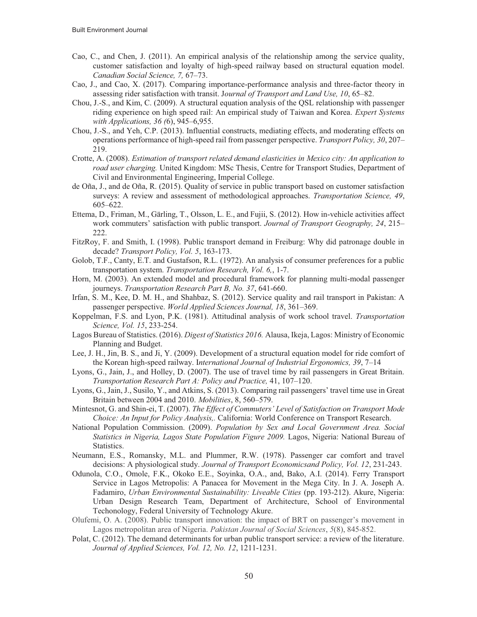- Cao, C., and Chen, J. (2011). An empirical analysis of the relationship among the service quality, customer satisfaction and loyalty of high-speed railway based on structural equation model. *Canadian Social Science, 7,* 67–73.
- Cao, J., and Cao, X. (2017). Comparing importance-performance analysis and three-factor theory in assessing rider satisfaction with transit. J*ournal of Transport and Land Use, 10*, 65–82.
- Chou, J.-S., and Kim, C. (2009). A structural equation analysis of the QSL relationship with passenger riding experience on high speed rail: An empirical study of Taiwan and Korea. *Expert Systems with Applications, 36 (*6), 945–6,955.
- Chou, J.-S., and Yeh, C.P. (2013). Influential constructs, mediating effects, and moderating effects on operations performance of high-speed rail from passenger perspective. *Transport Policy, 30*, 207– 219.
- Crotte, A. (2008). *Estimation of transport related demand elasticities in Mexico city: An application to road user charging.* United Kingdom: MSc Thesis, Centre for Transport Studies, Department of Civil and Environmental Engineering, Imperial College.
- de Oña, J., and de Oña, R. (2015). Quality of service in public transport based on customer satisfaction surveys: A review and assessment of methodological approaches. *Transportation Science, 49*, 605–622.
- Ettema, D., Friman, M., Gärling, T., Olsson, L. E., and Fujii, S. (2012). How in-vehicle activities affect work commuters' satisfaction with public transport. *Journal of Transport Geography, 24*, 215– 222.
- FitzRoy, F. and Smith, I. (1998). Public transport demand in Freiburg: Why did patronage double in decade? *Transport Policy, Vol. 5*, 163-173.
- Golob, T.F., Canty, E.T. and Gustafson, R.L. (1972). An analysis of consumer preferences for a public transportation system. *Transportation Research, Vol. 6,*, 1-7.
- Horn, M. (2003). An extended model and procedural framework for planning multi-modal passenger journeys. *Transportation Research Part B, No. 37*, 641-660.
- Irfan, S. M., Kee, D. M. H., and Shahbaz, S. (2012). Service quality and rail transport in Pakistan: A passenger perspective. *World Applied Sciences Journal, 18*, 361–369.
- Koppelman, F.S. and Lyon, P.K. (1981). Attitudinal analysis of work school travel. *Transportation Science, Vol. 15*, 233-254.
- Lagos Bureau of Statistics. (2016). *Digest of Statistics 2016.* Alausa, Ikeja, Lagos: Ministry of Economic Planning and Budget.
- Lee, J. H., Jin, B. S., and Ji, Y. (2009). Development of a structural equation model for ride comfort of the Korean high-speed railway. I*nternational Journal of Industrial Ergonomics, 39*, 7–14
- Lyons, G., Jain, J., and Holley, D. (2007). The use of travel time by rail passengers in Great Britain. *Transportation Research Part A: Policy and Practice,* 41, 107–120.
- Lyons, G., Jain, J., Susilo, Y., and Atkins, S. (2013). Comparing rail passengers' travel time use in Great Britain between 2004 and 2010. *Mobilities*, 8, 560–579.
- Mintesnot, G. and Shin-ei, T. (2007). *The Effect of Commuters' Level of Satisfaction on Transport Mode Choice: An Input for Policy Analysis,.* California: World Conference on Transport Research.
- National Population Commission. (2009). *Population by Sex and Local Government Area. Social Statistics in Nigeria, Lagos State Population Figure 2009.* Lagos, Nigeria: National Bureau of Statistics.
- Neumann, E.S., Romansky, M.L. and Plummer, R.W. (1978). Passenger car comfort and travel decisions: A physiological study. *Journal of Transport Economicsand Policy, Vol. 12*, 231-243.
- Odunola, C.O., Omole, F.K., Okoko E.E., Soyinka, O.A., and, Bako, A.I. (2014). Ferry Transport Service in Lagos Metropolis: A Panacea for Movement in the Mega City. In J. A. Joseph A. Fadamiro, *Urban Environmental Sustainability: Liveable Cities* (pp. 193-212). Akure, Nigeria: Urban Design Research Team, Department of Architecture, School of Environmental Techonology, Federal University of Technology Akure.
- Olufemi, O. A. (2008). Public transport innovation: the impact of BRT on passenger's movement in Lagos metropolitan area of Nigeria. *Pakistan Journal of Social Sciences*, *5*(8), 845-852.
- Polat, C. (2012). The demand determinants for urban public transport service: a review of the literature. *Journal of Applied Sciences, Vol. 12, No. 12*, 1211-1231.